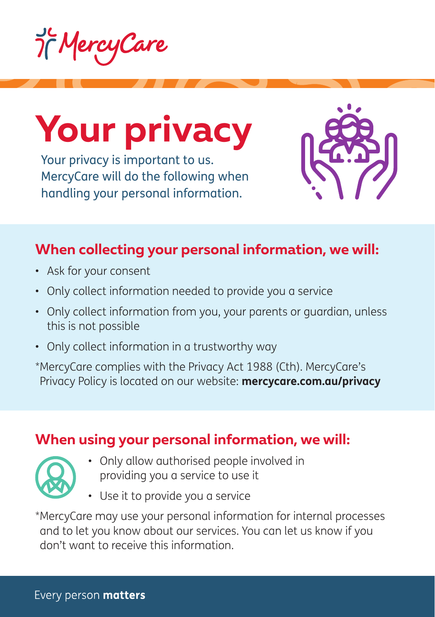



Your privacy is important to us. MercyCare will do the following when handling your personal information.



# **When collecting your personal information, we will:**

- Ask for your consent
- Only collect information needed to provide you a service
- Only collect information from you, your parents or guardian, unless this is not possible
- Only collect information in a trustworthy way

\*MercyCare complies with the Privacy Act 1988 (Cth). MercyCare's Privacy Policy is located on our website: **mercycare.com.au/privacy**

# **When using your personal information, we will:**

- Only allow authorised people involved in providing you a service to use it
- Use it to provide you a service

\*MercyCare may use your personal information for internal processes and to let you know about our services. You can let us know if you don't want to receive this information.